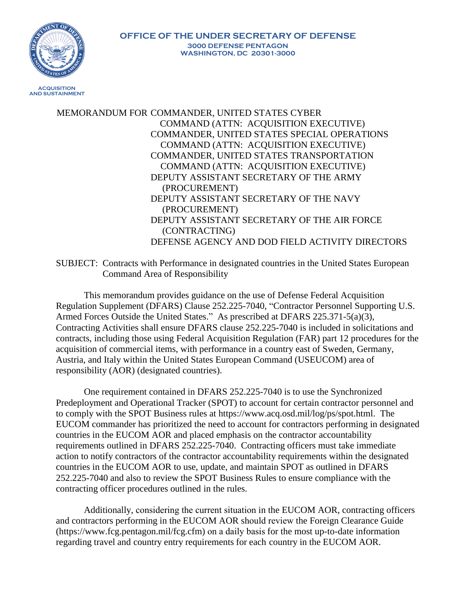

MEMORANDUM FOR COMMANDER, UNITED STATES CYBER COMMAND (ATTN: ACQUISITION EXECUTIVE) COMMANDER, UNITED STATES SPECIAL OPERATIONS COMMAND (ATTN: ACQUISITION EXECUTIVE) COMMANDER, UNITED STATES TRANSPORTATION COMMAND (ATTN: ACQUISITION EXECUTIVE) DEPUTY ASSISTANT SECRETARY OF THE ARMY (PROCUREMENT) DEPUTY ASSISTANT SECRETARY OF THE NAVY (PROCUREMENT) DEPUTY ASSISTANT SECRETARY OF THE AIR FORCE (CONTRACTING) DEFENSE AGENCY AND DOD FIELD ACTIVITY DIRECTORS

SUBJECT: Contracts with Performance in designated countries in the United States European Command Area of Responsibility

This memorandum provides guidance on the use of Defense Federal Acquisition Regulation Supplement (DFARS) Clause 252.225-7040, "Contractor Personnel Supporting U.S. Armed Forces Outside the United States." As prescribed at DFARS 225.371-5(a)(3), Contracting Activities shall ensure DFARS clause 252.225-7040 is included in solicitations and contracts, including those using Federal Acquisition Regulation (FAR) part 12 procedures for the acquisition of commercial items, with performance in a country east of Sweden, Germany, Austria, and Italy within the United States European Command (USEUCOM) area of responsibility (AOR) (designated countries).

One requirement contained in DFARS 252.225-7040 is to use the Synchronized Predeployment and Operational Tracker (SPOT) to account for certain contractor personnel and to comply with the SPOT Business rules at https://www.acq.osd.mil/log/ps/spot.html. The EUCOM commander has prioritized the need to account for contractors performing in designated countries in the EUCOM AOR and placed emphasis on the contractor accountability requirements outlined in DFARS 252.225-7040. Contracting officers must take immediate action to notify contractors of the contractor accountability requirements within the designated countries in the EUCOM AOR to use, update, and maintain SPOT as outlined in DFARS 252.225-7040 and also to review the SPOT Business Rules to ensure compliance with the contracting officer procedures outlined in the rules.

Additionally, considering the current situation in the EUCOM AOR, contracting officers and contractors performing in the EUCOM AOR should review the Foreign Clearance Guide (https://www.fcg.pentagon.mil/fcg.cfm) on a daily basis for the most up-to-date information regarding travel and country entry requirements for each country in the EUCOM AOR.